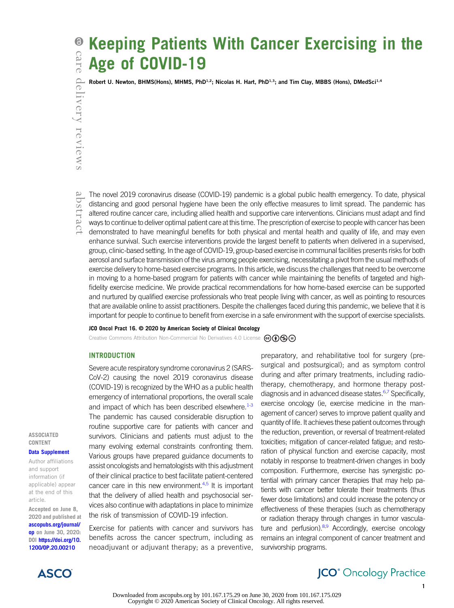# Keeping Patients With Cancer Exercising in the Age of COVID-19

Robert U. Newton, BHMS(Hons), MHMS, PhD<sup>1,2</sup>; Nicolas H. Hart, PhD<sup>1,3</sup>; and Tim Clay, MBBS (Hons), DMedSci<sup>1,4</sup>

The novel 2019 coronavirus disease (COVID-19) pandemic is a global public health emergency. To date, physical distancing and good personal hygiene have been the only effective measures to limit spread. The pandemic has altered routine cancer care, including allied health and supportive care interventions. Clinicians must adapt and find ways to continue to deliver optimal patient care at this time. The prescription of exercise to people with cancer has been demonstrated to have meaningful benefits for both physical and mental health and quality of life, and may even enhance survival. Such exercise interventions provide the largest benefit to patients when delivered in a supervised, group, clinic-based setting. In the age of COVID-19, group-based exercise in communal facilities presents risks for both aerosol and surface transmission of the virus among people exercising, necessitating a pivot from the usual methods of exercise delivery to home-based exercise programs. In this article, we discuss the challenges that need to be overcome in moving to a home-based program for patients with cancer while maintaining the benefits of targeted and highfidelity exercise medicine. We provide practical recommendations for how home-based exercise can be supported and nurtured by qualified exercise professionals who treat people living with cancer, as well as pointing to resources that are available online to assist practitioners. Despite the challenges faced during this pandemic, we believe that it is important for people to continue to benefit from exercise in a safe environment with the support of exercise specialists.

## JCO Oncol Pract 16. © 2020 by American Society of Clinical Oncology

Creative Commons Attribution Non-Commercial No Derivatives 4.0 License  $\mathcal{C}(\mathbf{D}\mathbf{S})\oplus$ 

## INTRODUCTION

Severe acute respiratory syndrome coronavirus 2 (SARS-CoV-2) causing the novel 2019 coronavirus disease (COVID-19) is recognized by the WHO as a public health emergency of international proportions, the overall scale and impact of which has been described elsewhere. $1-3$  $1-3$ The pandemic has caused considerable disruption to routine supportive care for patients with cancer and survivors. Clinicians and patients must adjust to the many evolving external constraints confronting them. Various groups have prepared guidance documents to assist oncologists and hematologists with this adjustment of their clinical practice to best facilitate patient-centered cancer care in this new environment. $4,5$  $4,5$  It is important that the delivery of allied health and psychosocial services also continue with adaptations in place to minimize the risk of transmission of COVID-19 infection.

Exercise for patients with cancer and survivors has benefits across the cancer spectrum, including as neoadjuvant or adjuvant therapy; as a preventive,

preparatory, and rehabilitative tool for surgery (presurgical and postsurgical); and as symptom control during and after primary treatments, including radiotherapy, chemotherapy, and hormone therapy post-diagnosis and in advanced disease states.<sup>[6,](#page-7-4)[7](#page-7-5)</sup> Specifically, exercise oncology (ie, exercise medicine in the management of cancer) serves to improve patient quality and quantity of life. It achieves these patient outcomes through the reduction, prevention, or reversal of treatment-related toxicities; mitigation of cancer-related fatigue; and restoration of physical function and exercise capacity, most notably in response to treatment-driven changes in body composition. Furthermore, exercise has synergistic potential with primary cancer therapies that may help patients with cancer better tolerate their treatments (thus fewer dose limitations) and could increase the potency or effectiveness of these therapies (such as chemotherapy or radiation therapy through changes in tumor vasculature and perfusion). $8,9$  $8,9$  Accordingly, exercise oncology remains an integral component of cancer treatment and survivorship programs.

**ASSOCIATED** CONTENT

[Data Supplement](https://ascopubs.org/doi/suppl/10.1200/OP.20.00210)

Author affiliations and support information (if applicable) appear at the end of this article.

Accepted on June 8, 2020 and published at [ascopubs.org/journal/](http://ascopubs.org/journal/op) [op](http://ascopubs.org/journal/op) on June 30, 2020: DOI [https://doi.org/10.](http://ascopubs.org/doi/full/10.1200/OP.20.00210) [1200/OP.20.00210](http://ascopubs.org/doi/full/10.1200/OP.20.00210)

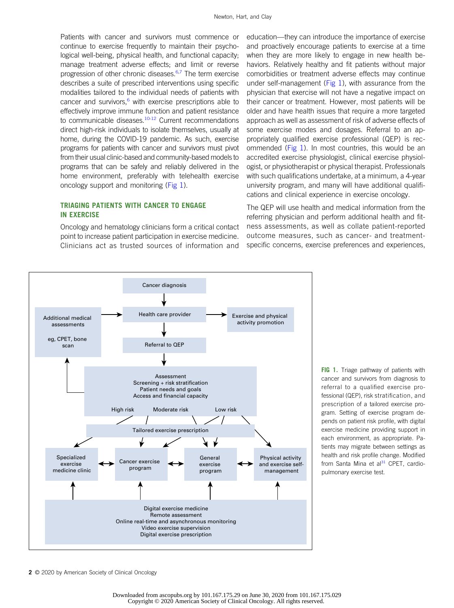Patients with cancer and survivors must commence or continue to exercise frequently to maintain their psychological well-being, physical health, and functional capacity; manage treatment adverse effects; and limit or reverse progression of other chronic diseases.<sup>6,[7](#page-7-5)</sup> The term exercise describes a suite of prescribed interventions using specific modalities tailored to the individual needs of patients with cancer and survivors, $6$  with exercise prescriptions able to effectively improve immune function and patient resistance to communicable diseases.<sup>10-[12](#page-7-9)</sup> Current recommendations direct high-risk individuals to isolate themselves, usually at home, during the COVID-19 pandemic. As such, exercise programs for patients with cancer and survivors must pivot from their usual clinic-based and community-based models to programs that can be safely and reliably delivered in the home environment, preferably with telehealth exercise oncology support and monitoring [\(Fig 1](#page-1-0)).

# TRIAGING PATIENTS WITH CANCER TO ENGAGE IN EXERCISE

Oncology and hematology clinicians form a critical contact point to increase patient participation in exercise medicine. Clinicians act as trusted sources of information and

education—they can introduce the importance of exercise and proactively encourage patients to exercise at a time when they are more likely to engage in new health behaviors. Relatively healthy and fit patients without major comorbidities or treatment adverse effects may continue under self-management ( $Fig 1$ ), with assurance from the physician that exercise will not have a negative impact on their cancer or treatment. However, most patients will be older and have health issues that require a more targeted approach as well as assessment of risk of adverse effects of some exercise modes and dosages. Referral to an appropriately qualified exercise professional (QEP) is rec-ommended [\(Fig 1](#page-1-0)). In most countries, this would be an accredited exercise physiologist, clinical exercise physiologist, or physiotherapist or physical therapist. Professionals with such qualifications undertake, at a minimum, a 4-year university program, and many will have additional qualifications and clinical experience in exercise oncology.

The QEP will use health and medical information from the referring physician and perform additional health and fitness assessments, as well as collate patient-reported outcome measures, such as cancer- and treatmentspecific concerns, exercise preferences and experiences,



<span id="page-1-0"></span>FIG 1. Triage pathway of patients with cancer and survivors from diagnosis to referral to a qualified exercise professional (QEP), risk stratification, and prescription of a tailored exercise program. Setting of exercise program depends on patient risk profile, with digital exercise medicine providing support in each environment, as appropriate. Patients may migrate between settings as health and risk profile change. Modified from Santa Mina et al $31$  CPET, cardiopulmonary exercise test.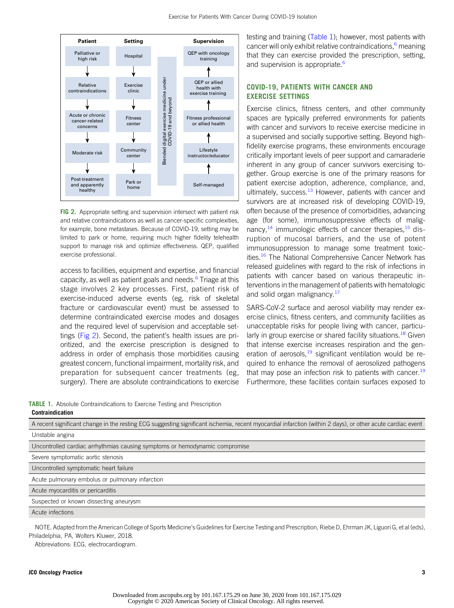

<span id="page-2-0"></span>FIG 2. Appropriate setting and supervision intersect with patient risk and relative contraindications as well as cancer-specific complexities, for example, bone metastases. Because of COVID-19, setting may be limited to park or home, requiring much higher fidelity telehealth support to manage risk and optimize effectiveness. QEP, qualified exercise professional.

access to facilities, equipment and expertise, and financial capacity, as well as patient goals and needs.[6](#page-7-4) Triage at this stage involves 2 key processes. First, patient risk of exercise-induced adverse events (eg, risk of skeletal fracture or cardiovascular event) must be assessed to determine contraindicated exercise modes and dosages and the required level of supervision and acceptable settings [\(Fig 2](#page-2-0)). Second, the patient's health issues are prioritized, and the exercise prescription is designed to address in order of emphasis those morbidities causing greatest concern, functional impairment, mortality risk, and preparation for subsequent cancer treatments (eg, surgery). There are absolute contraindications to exercise

<span id="page-2-1"></span>TABLE 1. Absolute Contraindications to Exercise Testing and Prescription Contraindication

testing and training ([Table 1\)](#page-2-1); however, most patients with cancer will only exhibit relative contraindications, $6$  meaning that they can exercise provided the prescription, setting, and supervision is appropriate.<sup>6</sup>

# COVID-19, PATIENTS WITH CANCER AND EXERCISE SETTINGS

Exercise clinics, fitness centers, and other community spaces are typically preferred environments for patients with cancer and survivors to receive exercise medicine in a supervised and socially supportive setting. Beyond highfidelity exercise programs, these environments encourage critically important levels of peer support and camaraderie inherent in any group of cancer survivors exercising together. Group exercise is one of the primary reasons for patient exercise adoption, adherence, compliance, and, ultimately, success. $13$  However, patients with cancer and survivors are at increased risk of developing COVID-19, often because of the presence of comorbidities, advancing age (for some), immunosuppressive effects of malignancy, $^{14}$  $^{14}$  $^{14}$  immunologic effects of cancer therapies, $^{15}$  $^{15}$  $^{15}$  disruption of mucosal barriers, and the use of potent immunosuppression to manage some treatment toxicities.<sup>16</sup> The National Comprehensive Cancer Network has released guidelines with regard to the risk of infections in patients with cancer based on various therapeutic interventions in the management of patients with hematologic and solid organ malignancy.<sup>17</sup>

SARS-CoV-2 surface and aerosol viability may render exercise clinics, fitness centers, and community facilities as unacceptable risks for people living with cancer, particu-larly in group exercise or shared facility situations.<sup>[18](#page-8-5)</sup> Given that intense exercise increases respiration and the generation of aerosols, $19$  significant ventilation would be required to enhance the removal of aerosolized pathogens that may pose an infection risk to patients with cancer.<sup>[19](#page-8-6)</sup> Furthermore, these facilities contain surfaces exposed to

A recent significant change in the resting ECG suggesting significant ischemia, recent myocardial infarction (within 2 days), or other acute cardiac event Unstable angina

Uncontrolled cardiac arrhythmias causing symptoms or hemodynamic compromise

Severe symptomatic aortic stenosis

Uncontrolled symptomatic heart failure

Acute pulmonary embolus or pulmonary infarction

Acute myocarditis or pericarditis

Suspected or known dissecting aneurysm

Acute infections

NOTE. Adapted from the American College of Sports Medicine's Guidelines for Exercise Testing and Prescription, Riebe D, Ehrman JK, Liguori G, et al (eds), Philadelphia, PA, Wolters Kluwer, 2018.

Abbreviations: ECG, electrocardiogram.

## JCO Oncology Practice 3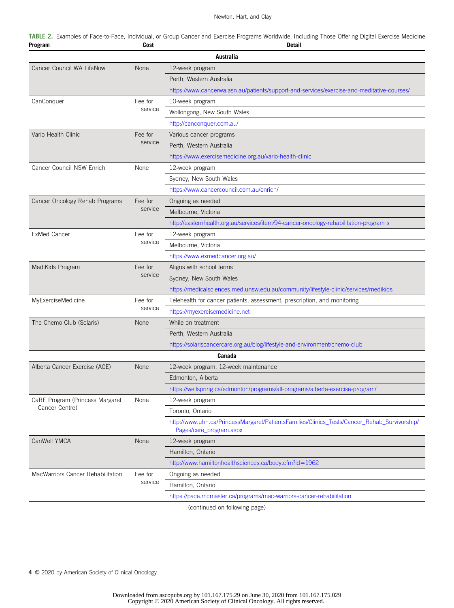## Newton, Hart, and Clay

<span id="page-3-0"></span>

|         | TABLE 2. Examples of Face-to-Face, Individual, or Group Cancer and Exercise Programs Worldwide, Including Those Offering Digital Exercise Medicine |      |  |  |               |  |  |  |
|---------|----------------------------------------------------------------------------------------------------------------------------------------------------|------|--|--|---------------|--|--|--|
| Program |                                                                                                                                                    | Cost |  |  | <b>Detail</b> |  |  |  |

| Australia                         |                    |                                                                                              |  |  |  |  |
|-----------------------------------|--------------------|----------------------------------------------------------------------------------------------|--|--|--|--|
| Cancer Council WA LifeNow         | None               | 12-week program                                                                              |  |  |  |  |
|                                   |                    | Perth, Western Australia                                                                     |  |  |  |  |
|                                   |                    | https://www.cancerwa.asn.au/patients/support-and-services/exercise-and-meditative-courses/   |  |  |  |  |
| CanConquer                        | Fee for            | 10-week program                                                                              |  |  |  |  |
|                                   | service            | Wollongong, New South Wales                                                                  |  |  |  |  |
|                                   |                    | http://canconquer.com.au/                                                                    |  |  |  |  |
| Vario Health Clinic               | Fee for            | Various cancer programs                                                                      |  |  |  |  |
|                                   | service            | Perth, Western Australia                                                                     |  |  |  |  |
|                                   |                    | https://www.exercisemedicine.org.au/vario-health-clinic                                      |  |  |  |  |
| Cancer Council NSW Enrich         | None               | 12-week program                                                                              |  |  |  |  |
|                                   |                    | Sydney, New South Wales                                                                      |  |  |  |  |
|                                   |                    | https://www.cancercouncil.com.au/enrich/                                                     |  |  |  |  |
| Cancer Oncology Rehab Programs    | Fee for            | Ongoing as needed                                                                            |  |  |  |  |
|                                   | service            | Melbourne, Victoria                                                                          |  |  |  |  |
|                                   |                    | http://easternhealth.org.au/services/item/94-cancer-oncology-rehabilitation-program s        |  |  |  |  |
| <b>ExMed Cancer</b>               | Fee for            | 12-week program                                                                              |  |  |  |  |
|                                   | service            | Melbourne, Victoria                                                                          |  |  |  |  |
|                                   |                    | https://www.exmedcancer.org.au/                                                              |  |  |  |  |
| MediKids Program                  | Fee for            | Aligns with school terms                                                                     |  |  |  |  |
|                                   | service            | Sydney, New South Wales                                                                      |  |  |  |  |
|                                   |                    | https://medicalsciences.med.unsw.edu.au/community/lifestyle-clinic/services/medikids         |  |  |  |  |
| MyExerciseMedicine                | Fee for            | Telehealth for cancer patients, assessment, prescription, and monitoring                     |  |  |  |  |
|                                   | service            | https://myexercisemedicine.net                                                               |  |  |  |  |
| The Chemo Club (Solaris)          | None               | While on treatment                                                                           |  |  |  |  |
|                                   |                    | Perth, Western Australia                                                                     |  |  |  |  |
|                                   |                    | https://solariscancercare.org.au/blog/lifestyle-and-environment/chemo-club                   |  |  |  |  |
|                                   |                    | Canada                                                                                       |  |  |  |  |
| Alberta Cancer Exercise (ACE)     | <b>None</b>        | 12-week program, 12-week maintenance                                                         |  |  |  |  |
|                                   |                    | Edmonton, Alberta                                                                            |  |  |  |  |
|                                   |                    | https://wellspring.ca/edmonton/programs/all-programs/alberta-exercise-program/               |  |  |  |  |
| CaRE Program (Princess Margaret   | None               | 12-week program                                                                              |  |  |  |  |
| Cancer Centre)                    |                    | Toronto, Ontario                                                                             |  |  |  |  |
|                                   |                    | http://www.uhn.ca/PrincessMargaret/PatientsFamilies/Clinics_Tests/Cancer_Rehab_Survivorship/ |  |  |  |  |
|                                   |                    | Pages/care_program.aspx                                                                      |  |  |  |  |
| CanWell YMCA                      | None               | 12-week program                                                                              |  |  |  |  |
|                                   |                    | Hamilton, Ontario                                                                            |  |  |  |  |
|                                   |                    | http://www.hamiltonhealthsciences.ca/body.cfm?id=1962                                        |  |  |  |  |
| MacWarriors Cancer Rehabilitation | Fee for<br>service | Ongoing as needed                                                                            |  |  |  |  |
|                                   |                    | Hamilton, Ontario                                                                            |  |  |  |  |
|                                   |                    | https://pace.mcmaster.ca/programs/mac-warriors-cancer-rehabilitation                         |  |  |  |  |
|                                   |                    | (continued on following page)                                                                |  |  |  |  |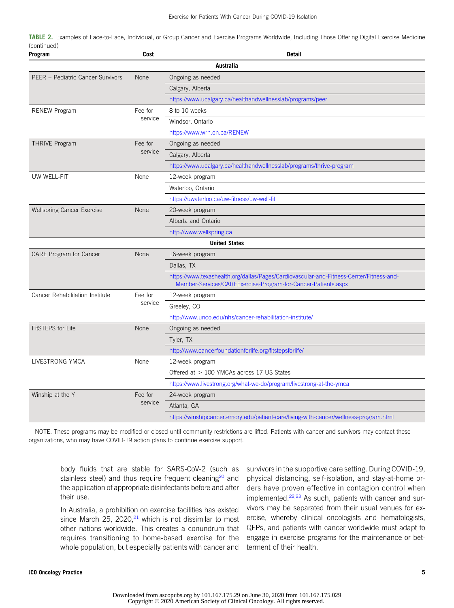|             | <b>TABLE 2.</b> Examples of Face-to-Face, Individual, or Group Cancer and Exercise Programs Worldwide, Including Those Offering Digital Exercise Medicine |  |  |  |
|-------------|-----------------------------------------------------------------------------------------------------------------------------------------------------------|--|--|--|
| (continued) |                                                                                                                                                           |  |  |  |

| Program                           | Cost               | <b>Detail</b>                                                                                                                                            |
|-----------------------------------|--------------------|----------------------------------------------------------------------------------------------------------------------------------------------------------|
|                                   |                    | Australia                                                                                                                                                |
| PEER - Pediatric Cancer Survivors | None               | Ongoing as needed                                                                                                                                        |
|                                   |                    | Calgary, Alberta                                                                                                                                         |
|                                   |                    | https://www.ucalgary.ca/healthandwellnesslab/programs/peer                                                                                               |
| <b>RENEW Program</b>              | Fee for            | 8 to 10 weeks                                                                                                                                            |
|                                   | service            | Windsor, Ontario                                                                                                                                         |
|                                   |                    | https://www.wrh.on.ca/RENEW                                                                                                                              |
| <b>THRIVE Program</b>             | Fee for<br>service | Ongoing as needed                                                                                                                                        |
|                                   |                    | Calgary, Alberta                                                                                                                                         |
|                                   |                    | https://www.ucalgary.ca/healthandwellnesslab/programs/thrive-program                                                                                     |
| UW WELL-FIT                       | None               | 12-week program                                                                                                                                          |
|                                   |                    | Waterloo, Ontario                                                                                                                                        |
|                                   |                    | https://uwaterloo.ca/uw-fitness/uw-well-fit                                                                                                              |
| <b>Wellspring Cancer Exercise</b> | None               | 20-week program                                                                                                                                          |
|                                   |                    | Alberta and Ontario                                                                                                                                      |
|                                   |                    | http://www.wellspring.ca                                                                                                                                 |
|                                   |                    | <b>United States</b>                                                                                                                                     |
| CARE Program for Cancer           | None               | 16-week program                                                                                                                                          |
|                                   |                    | Dallas, TX                                                                                                                                               |
|                                   |                    | https://www.texashealth.org/dallas/Pages/Cardiovascular-and-Fitness-Center/Fitness-and-<br>Member-Services/CAREExercise-Program-for-Cancer-Patients.aspx |
| Cancer Rehabilitation Institute   | Fee for            | 12-week program                                                                                                                                          |
|                                   | service            | Greeley, CO                                                                                                                                              |
|                                   |                    | http://www.unco.edu/nhs/cancer-rehabilitation-institute/                                                                                                 |
| <b>FitSTEPS for Life</b>          | <b>None</b>        | Ongoing as needed                                                                                                                                        |
|                                   |                    | Tyler, TX                                                                                                                                                |
|                                   |                    | http://www.cancerfoundationforlife.org/fitstepsforlife/                                                                                                  |
| LIVESTRONG YMCA                   | None               | 12-week program                                                                                                                                          |
|                                   |                    | Offered at $>100$ YMCAs across 17 US States                                                                                                              |
|                                   |                    | https://www.livestrong.org/what-we-do/program/livestrong-at-the-ymca                                                                                     |
| Winship at the Y                  | Fee for            | 24-week program                                                                                                                                          |
|                                   | service            | Atlanta, GA                                                                                                                                              |
|                                   |                    | https://winshipcancer.emory.edu/patient-care/living-with-cancer/wellness-program.html                                                                    |

NOTE. These programs may be modified or closed until community restrictions are lifted. Patients with cancer and survivors may contact these organizations, who may have COVID-19 action plans to continue exercise support.

body fluids that are stable for SARS-CoV-2 (such as stainless steel) and thus require frequent cleaning<sup>[20](#page-8-7)</sup> and the application of appropriate disinfectants before and after their use.

In Australia, a prohibition on exercise facilities has existed since March 25, 2020, $21$  which is not dissimilar to most other nations worldwide. This creates a conundrum that requires transitioning to home-based exercise for the whole population, but especially patients with cancer and

survivors in the supportive care setting. During COVID-19, physical distancing, self-isolation, and stay-at-home orders have proven effective in contagion control when implemented. $22,23$  $22,23$  As such, patients with cancer and survivors may be separated from their usual venues for exercise, whereby clinical oncologists and hematologists, QEPs, and patients with cancer worldwide must adapt to engage in exercise programs for the maintenance or betterment of their health.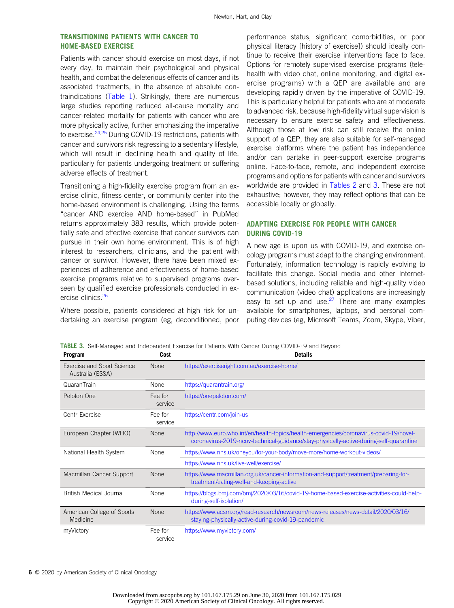# TRANSITIONING PATIENTS WITH CANCER TO HOME-BASED EXERCISE

Patients with cancer should exercise on most days, if not every day, to maintain their psychological and physical health, and combat the deleterious effects of cancer and its associated treatments, in the absence of absolute contraindications ([Table 1](#page-2-1)). Strikingly, there are numerous large studies reporting reduced all-cause mortality and cancer-related mortality for patients with cancer who are more physically active, further emphasizing the imperative to exercise.<sup>[24](#page-8-11),[25](#page-8-12)</sup> During COVID-19 restrictions, patients with cancer and survivors risk regressing to a sedentary lifestyle, which will result in declining health and quality of life, particularly for patients undergoing treatment or suffering adverse effects of treatment.

Transitioning a high-fidelity exercise program from an exercise clinic, fitness center, or community center into the home-based environment is challenging. Using the terms "cancer AND exercise AND home-based" in PubMed returns approximately 383 results, which provide potentially safe and effective exercise that cancer survivors can pursue in their own home environment. This is of high interest to researchers, clinicians, and the patient with cancer or survivor. However, there have been mixed experiences of adherence and effectiveness of home-based exercise programs relative to supervised programs overseen by qualified exercise professionals conducted in exercise clinics.<sup>26</sup>

Where possible, patients considered at high risk for undertaking an exercise program (eg, deconditioned, poor

performance status, significant comorbidities, or poor physical literacy [history of exercise]) should ideally continue to receive their exercise interventions face to face. Options for remotely supervised exercise programs (telehealth with video chat, online monitoring, and digital exercise programs) with a QEP are available and are developing rapidly driven by the imperative of COVID-19. This is particularly helpful for patients who are at moderate to advanced risk, because high-fidelity virtual supervision is necessary to ensure exercise safety and effectiveness. Although those at low risk can still receive the online support of a QEP, they are also suitable for self-managed exercise platforms where the patient has independence and/or can partake in peer-support exercise programs online. Face-to-face, remote, and independent exercise programs and options for patients with cancer and survivors worldwide are provided in [Tables 2](#page-3-0) and [3.](#page-5-0) These are not exhaustive; however, they may reflect options that can be accessible locally or globally.

# ADAPTING EXERCISE FOR PEOPLE WITH CANCER DURING COVID-19

A new age is upon us with COVID-19, and exercise oncology programs must adapt to the changing environment. Fortunately, information technology is rapidly evolving to facilitate this change. Social media and other Internetbased solutions, including reliable and high-quality video communication (video chat) applications are increasingly easy to set up and use. $27$  There are many examples available for smartphones, laptops, and personal computing devices (eg, Microsoft Teams, Zoom, Skype, Viber,

<span id="page-5-0"></span>TABLE 3. Self-Managed and Independent Exercise for Patients With Cancer During COVID-19 and Beyond

| Program                                        | Cost               | <b>Details</b>                                                                                                                                                                    |
|------------------------------------------------|--------------------|-----------------------------------------------------------------------------------------------------------------------------------------------------------------------------------|
| Exercise and Sport Science<br>Australia (ESSA) | <b>None</b>        | https://exerciseright.com.au/exercise-home/                                                                                                                                       |
| QuaranTrain                                    | <b>None</b>        | https://quarantrain.org/                                                                                                                                                          |
| Peloton One                                    | Fee for<br>service | https://onepeloton.com/                                                                                                                                                           |
| Centr Exercise                                 | Fee for<br>service | https://centr.com/join-us                                                                                                                                                         |
| European Chapter (WHO)                         | <b>None</b>        | http://www.euro.who.int/en/health-topics/health-emergencies/coronavirus-covid-19/novel-<br>coronavirus-2019-ncov-technical-guidance/stay-physically-active-during-self-quarantine |
| National Health System                         | None               | https://www.nhs.uk/oneyou/for-your-body/move-more/home-workout-videos/                                                                                                            |
|                                                |                    | https://www.nhs.uk/live-well/exercise/                                                                                                                                            |
| Macmillan Cancer Support                       | <b>None</b>        | https://www.macmillan.org.uk/cancer-information-and-support/treatment/preparing-for-<br>treatment/eating-well-and-keeping-active                                                  |
| <b>British Medical Journal</b>                 | None               | https://blogs.bmj.com/bmj/2020/03/16/covid-19-home-based-exercise-activities-could-help-<br>during-self-isolation/                                                                |
| American College of Sports<br>Medicine         | <b>None</b>        | https://www.acsm.org/read-research/newsroom/news-releases/news-detail/2020/03/16/<br>staying-physically-active-during-covid-19-pandemic                                           |
| myVictory                                      | Fee for<br>service | https://www.myvictory.com/                                                                                                                                                        |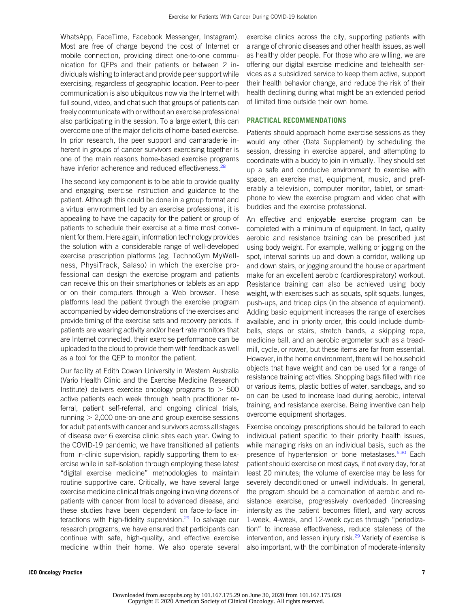WhatsApp, FaceTime, Facebook Messenger, Instagram). Most are free of charge beyond the cost of Internet or mobile connection, providing direct one-to-one communication for QEPs and their patients or between 2 individuals wishing to interact and provide peer support while exercising, regardless of geographic location. Peer-to-peer communication is also ubiquitous now via the Internet with full sound, video, and chat such that groups of patients can freely communicate with or without an exercise professional also participating in the session. To a large extent, this can overcome one of the major deficits of home-based exercise. In prior research, the peer support and camaraderie inherent in groups of cancer survivors exercising together is one of the main reasons home-based exercise programs have inferior adherence and reduced effectiveness.<sup>[28](#page-8-15)</sup>

The second key component is to be able to provide quality and engaging exercise instruction and guidance to the patient. Although this could be done in a group format and a virtual environment led by an exercise professional, it is appealing to have the capacity for the patient or group of patients to schedule their exercise at a time most convenient for them. Here again, information technology provides the solution with a considerable range of well-developed exercise prescription platforms (eg, TechnoGym MyWellness, PhysiTrack, Salaso) in which the exercise professional can design the exercise program and patients can receive this on their smartphones or tablets as an app or on their computers through a Web browser. These platforms lead the patient through the exercise program accompanied by video demonstrations of the exercises and provide timing of the exercise sets and recovery periods. If patients are wearing activity and/or heart rate monitors that are Internet connected, their exercise performance can be uploaded to the cloud to provide them with feedback as well as a tool for the QEP to monitor the patient.

Our facility at Edith Cowan University in Western Australia (Vario Health Clinic and the Exercise Medicine Research Institute) delivers exercise oncology programs to  $> 500$ active patients each week through health practitioner referral, patient self-referral, and ongoing clinical trials, running  $> 2,000$  one-on-one and group exercise sessions for adult patients with cancer and survivors across all stages of disease over 6 exercise clinic sites each year. Owing to the COVID-19 pandemic, we have transitioned all patients from in-clinic supervision, rapidly supporting them to exercise while in self-isolation through employing these latest "digital exercise medicine" methodologies to maintain routine supportive care. Critically, we have several large exercise medicine clinical trials ongoing involving dozens of patients with cancer from local to advanced disease, and these studies have been dependent on face-to-face interactions with high-fidelity supervision. $29$  To salvage our research programs, we have ensured that participants can continue with safe, high-quality, and effective exercise medicine within their home. We also operate several exercise clinics across the city, supporting patients with a range of chronic diseases and other health issues, as well as healthy older people. For those who are willing, we are offering our digital exercise medicine and telehealth services as a subsidized service to keep them active, support their health behavior change, and reduce the risk of their health declining during what might be an extended period of limited time outside their own home.

# PRACTICAL RECOMMENDATIONS

Patients should approach home exercise sessions as they would any other (Data Supplement) by scheduling the session, dressing in exercise apparel, and attempting to coordinate with a buddy to join in virtually. They should set up a safe and conducive environment to exercise with space, an exercise mat, equipment, music, and preferably a television, computer monitor, tablet, or smartphone to view the exercise program and video chat with buddies and the exercise professional.

An effective and enjoyable exercise program can be completed with a minimum of equipment. In fact, quality aerobic and resistance training can be prescribed just using body weight. For example, walking or jogging on the spot, interval sprints up and down a corridor, walking up and down stairs, or jogging around the house or apartment make for an excellent aerobic (cardiorespiratory) workout. Resistance training can also be achieved using body weight, with exercises such as squats, split squats, lunges, push-ups, and tricep dips (in the absence of equipment). Adding basic equipment increases the range of exercises available, and in priority order, this could include dumbbells, steps or stairs, stretch bands, a skipping rope, medicine ball, and an aerobic ergometer such as a treadmill, cycle, or rower, but these items are far from essential. However, in the home environment, there will be household objects that have weight and can be used for a range of resistance training activities. Shopping bags filled with rice or various items, plastic bottles of water, sandbags, and so on can be used to increase load during aerobic, interval training, and resistance exercise. Being inventive can help overcome equipment shortages.

Exercise oncology prescriptions should be tailored to each individual patient specific to their priority health issues, while managing risks on an individual basis, such as the presence of hypertension or bone metastases.<sup>[6](#page-7-4)[,30](#page-8-17)</sup> Each patient should exercise on most days, if not every day, for at least 20 minutes; the volume of exercise may be less for severely deconditioned or unwell individuals. In general, the program should be a combination of aerobic and resistance exercise, progressively overloaded (increasing intensity as the patient becomes fitter), and vary across 1-week, 4-week, and 12-week cycles through "periodization" to increase effectiveness, reduce staleness of the intervention, and lessen injury risk. $29$  Variety of exercise is also important, with the combination of moderate-intensity

Downloaded from ascopubs.org by 101.167.175.29 on June 30, 2020 from 101.167.175.029 Copyright © 2020 American Society of Clinical Oncology. All rights reserved.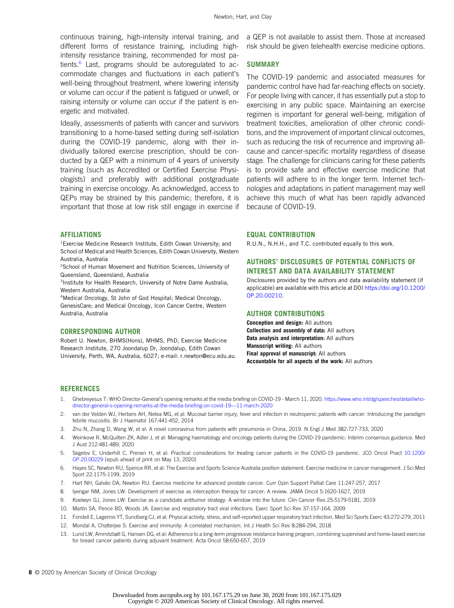continuous training, high-intensity interval training, and different forms of resistance training, including highintensity resistance training, recommended for most pa-tients.<sup>[6](#page-7-4)</sup> Last, programs should be autoregulated to accommodate changes and fluctuations in each patient's well-being throughout treatment, where lowering intensity or volume can occur if the patient is fatigued or unwell, or raising intensity or volume can occur if the patient is energetic and motivated.

Ideally, assessments of patients with cancer and survivors transitioning to a home-based setting during self-isolation during the COVID-19 pandemic, along with their individually tailored exercise prescription, should be conducted by a QEP with a minimum of 4 years of university training (such as Accredited or Certified Exercise Physiologists) and preferably with additional postgraduate training in exercise oncology. As acknowledged, access to QEPs may be strained by this pandemic; therefore, it is important that those at low risk still engage in exercise if

## AFFILIATIONS

<sup>1</sup> Exercise Medicine Research Institute, Edith Cowan University; and School of Medical and Health Sciences, Edith Cowan University, Western Australia, Australia

2 School of Human Movement and Nutrition Sciences, University of Queensland, Queensland, Australia

3 Institute for Health Research, University of Notre Dame Australia, Western Australia, Australia

4 Medical Oncology, St John of God Hospital; Medical Oncology, GenesisCare; and Medical Oncology, Icon Cancer Centre, Western Australia, Australia

### CORRESPONDING AUTHOR

Robert U. Newton, BHMS(Hons), MHMS, PhD, Exercise Medicine Research Institute, 270 Joondalup Dr, Joondalup, Edith Cowan University, Perth, WA, Australia, 6027; e-mail: [r.newton@ecu.edu.au](mailto:r.newton@ecu.edu.au). a QEP is not available to assist them. Those at increased risk should be given telehealth exercise medicine options.

#### SUMMARY

The COVID-19 pandemic and associated measures for pandemic control have had far-reaching effects on society. For people living with cancer, it has essentially put a stop to exercising in any public space. Maintaining an exercise regimen is important for general well-being, mitigation of treatment toxicities, amelioration of other chronic conditions, and the improvement of important clinical outcomes, such as reducing the risk of recurrence and improving allcause and cancer-specific mortality regardless of disease stage. The challenge for clinicians caring for these patients is to provide safe and effective exercise medicine that patients will adhere to in the longer term. Internet technologies and adaptations in patient management may well achieve this much of what has been rapidly advanced because of COVID-19.

## EQUAL CONTRIBUTION

R.U.N., N.H.H., and T.C. contributed equally to this work.

## AUTHORS' DISCLOSURES OF POTENTIAL CONFLICTS OF INTEREST AND DATA AVAILABILITY STATEMENT

Disclosures provided by the authors and data availability statement (if applicable) are available with this article at DOI [https://doi.org/10.1200/](https://ascopubs.org/doi/full/10.1200/OP.20.00210) [OP.20.00210.](https://ascopubs.org/doi/full/10.1200/OP.20.00210)

#### AUTHOR CONTRIBUTIONS

Conception and design: All authors Collection and assembly of data: All authors Data analysis and interpretation: All authors Manuscript writing: All authors Final approval of manuscript: All authors Accountable for all aspects of the work: All authors

#### **REFERENCES**

- <span id="page-7-0"></span>1. Ghebreyesus T: WHO Director-General's opening remarks at the media briefing on COVID-19 - March 11, 2020. [https://www.who.int/dg/speeches/detail/who](https://www.who.int/dg/speeches/detail/who-director-general-s-opening-remarks-at-the-media-briefing-on-covid-19---11-march-2020)[director-general-s-opening-remarks-at-the-media-brie](https://www.who.int/dg/speeches/detail/who-director-general-s-opening-remarks-at-the-media-briefing-on-covid-19---11-march-2020)fing-on-covid-19—11-march-2020
- 2. van der Velden WJ, Herbers AH, Netea MG, et al: Mucosal barrier injury, fever and infection in neutropenic patients with cancer: Introducing the paradigm febrile mucositis. Br J Haematol 167:441-452, 2014
- <span id="page-7-1"></span>3. Zhu N, Zhang D, Wang W, et al: A novel coronavirus from patients with pneumonia in China, 2019. N Engl J Med 382:727-733, 2020
- <span id="page-7-2"></span>4. Weinkove R, McQuilten ZK, Adler J, et al: Managing haematology and oncology patients during the COVID-19 pandemic: Interim consensus guidance. Med J Aust 212:481-489, 2020
- <span id="page-7-3"></span>5. Segelov E, Underhill C, Prenen H, et al: Practical considerations for treating cancer patients in the COVID-19 pandemic. JCO Oncol Pract [10.1200/](http://10.1200/OP.20.00229) [OP.20.00229](http://10.1200/OP.20.00229) [epub ahead of print on May 13, 2020]
- <span id="page-7-4"></span>6. Hayes SC, Newton RU, Spence RR, et al: The Exercise and Sports Science Australia position statement: Exercise medicine in cancer management. J Sci Med Sport 22:1175-1199, 2019
- <span id="page-7-5"></span>7. Hart NH, Galvão DA, Newton RU: Exercise medicine for advanced prostate cancer. Curr Opin Support Palliat Care 11:247-257, 2017
- <span id="page-7-6"></span>8. Iyengar NM, Jones LW: Development of exercise as interception therapy for cancer: A review. JAMA Oncol 5:1620-1627, 2019
- <span id="page-7-7"></span>9. Koelwyn GJ, Jones LW: Exercise as a candidate antitumor strategy: A window into the future. Clin Cancer Res 25:5179-5181, 2019
- <span id="page-7-8"></span>10. Martin SA, Pence BD, Woods JA: Exercise and respiratory tract viral infections. Exerc Sport Sci Rev 37:157-164, 2009
- 11. Fondell E, Lagerros YT, Sundberg CJ, et al: Physical activity, stress, and self-reported upper respiratory tract infection. Med Sci Sports Exerc 43:272-279, 2011
- <span id="page-7-9"></span>12. Mondal A, Chatterjee S: Exercise and immunity: A correlated mechanism. Int J Health Sci Res 8:284-294, 2018
- <span id="page-7-10"></span>13. Lund LW, Ammitzbøll G, Hansen DG, et al: Adherence to a long-term progressive resistance training program, combining supervised and home-based exercise for breast cancer patients during adjuvant treatment. Acta Oncol 58:650-657, 2019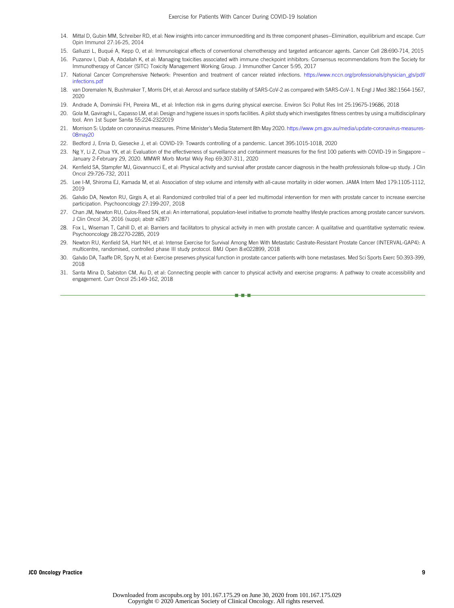- <span id="page-8-1"></span>14. Mittal D, Gubin MM, Schreiber RD, et al: New insights into cancer immunoediting and its three component phases--Elimination, equilibrium and escape. Curr Opin Immunol 27:16-25, 2014
- <span id="page-8-2"></span>15. Galluzzi L, Buque A, Kepp O, et al: Immunological effects of conventional chemotherapy and targeted anticancer agents. Cancer Cell 28:690-714, 2015 ´
- <span id="page-8-3"></span>16. Puzanov I, Diab A, Abdallah K, et al: Managing toxicities associated with immune checkpoint inhibitors: Consensus recommendations from the Society for Immunotherapy of Cancer (SITC) Toxicity Management Working Group. J Immunother Cancer 5:95, 2017
- <span id="page-8-4"></span>17. National Cancer Comprehensive Network: Prevention and treatment of cancer related infections. [https://www.nccn.org/professionals/physician\\_gls/pdf/](https://www.nccn.org/professionals/physician_gls/pdf/infections.pdf) [infections.pdf](https://www.nccn.org/professionals/physician_gls/pdf/infections.pdf)
- <span id="page-8-5"></span>18. van Doremalen N, Bushmaker T, Morris DH, et al: Aerosol and surface stability of SARS-CoV-2 as compared with SARS-CoV-1. N Engl J Med 382:1564-1567, 2020
- <span id="page-8-6"></span>19. Andrade A, Dominski FH, Pereira ML, et al: Infection risk in gyms during physical exercise. Environ Sci Pollut Res Int 25:19675-19686, 2018
- <span id="page-8-7"></span>20. Gola M, Gaviraghi L, Capasso LM, et al: Design and hygiene issues in sports facilities. A pilot study which investigates fitness centres by using a multidisciplinary tool. Ann 1st Super Sanita 55:224-2322019
- <span id="page-8-8"></span>21. Morrison S: Update on coronavirus measures. Prime Minister's Media Statement 8th May 2020. [https://www.pm.gov.au/media/update-coronavirus-measures-](https://www.pm.gov.au/media/update-coronavirus-measures-08may20)[08may20](https://www.pm.gov.au/media/update-coronavirus-measures-08may20)
- <span id="page-8-9"></span>22. Bedford J, Enria D, Giesecke J, et al: COVID-19: Towards controlling of a pandemic. Lancet 395:1015-1018, 2020
- <span id="page-8-10"></span>23. Ng Y, Li Z, Chua YX, et al: Evaluation of the effectiveness of surveillance and containment measures for the first 100 patients with COVID-19 in Singapore – January 2-February 29, 2020. MMWR Morb Mortal Wkly Rep 69:307-311, 2020
- <span id="page-8-11"></span>24. Kenfield SA, Stampfer MJ, Giovannucci E, et al: Physical activity and survival after prostate cancer diagnosis in the health professionals follow-up study. J Clin Oncol 29:726-732, 2011
- <span id="page-8-12"></span>25. Lee I-M, Shiroma EJ, Kamada M, et al: Association of step volume and intensity with all-cause mortality in older women. JAMA Intern Med 179:1105-1112, 2019
- <span id="page-8-13"></span>26. Galvão DA, Newton RU, Girgis A, et al: Randomized controlled trial of a peer led multimodal intervention for men with prostate cancer to increase exercise participation. Psychooncology 27:199-207, 2018
- <span id="page-8-14"></span>27. Chan JM, Newton RU, Culos-Reed SN, et al: An international, population-level initiative to promote healthy lifestyle practices among prostate cancer survivors. J Clin Oncol 34, 2016 (suppl; abstr e287)
- <span id="page-8-15"></span>28. Fox L, Wiseman T, Cahill D, et al: Barriers and facilitators to physical activity in men with prostate cancer: A qualitative and quantitative systematic review. Psychooncology 28:2270-2285, 2019
- <span id="page-8-16"></span>29. Newton RU, Kenfield SA, Hart NH, et al: Intense Exercise for Survival Among Men With Metastatic Castrate-Resistant Prostate Cancer (INTERVAL-GAP4): A multicentre, randomised, controlled phase III study protocol. BMJ Open 8:e022899, 2018
- <span id="page-8-17"></span>30. Galvão DA, Taaffe DR, Spry N, et al: Exercise preserves physical function in prostate cancer patients with bone metastases. Med Sci Sports Exerc 50:393-399, 2018
- <span id="page-8-0"></span>31. Santa Mina D, Sabiston CM, Au D, et al: Connecting people with cancer to physical activity and exercise programs: A pathway to create accessibility and engagement. Curr Oncol 25:149-162, 2018

nnn